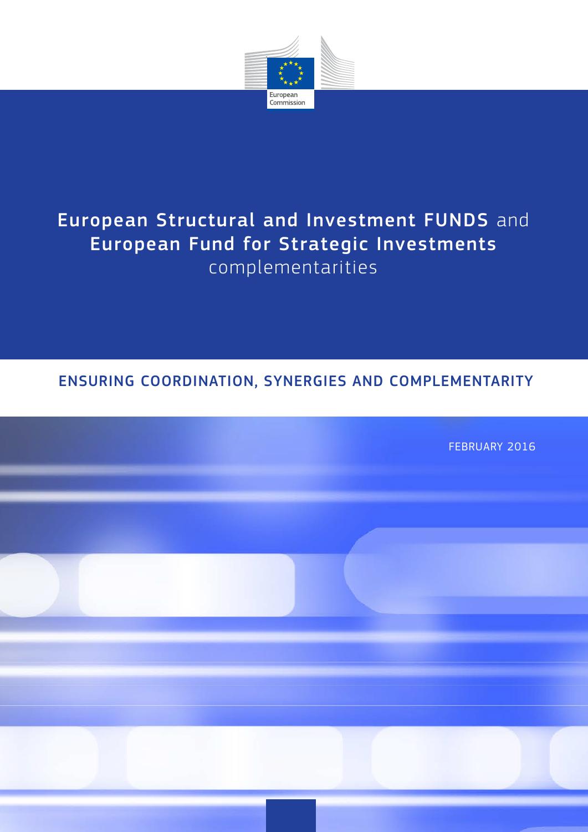

# European Structural and Investment FUNDS and European Fund for Strategic Investments complementarities

# ENSURING COORDINATION, SYNERGIES AND COMPLEMENTARITY

FEBRUARY 2016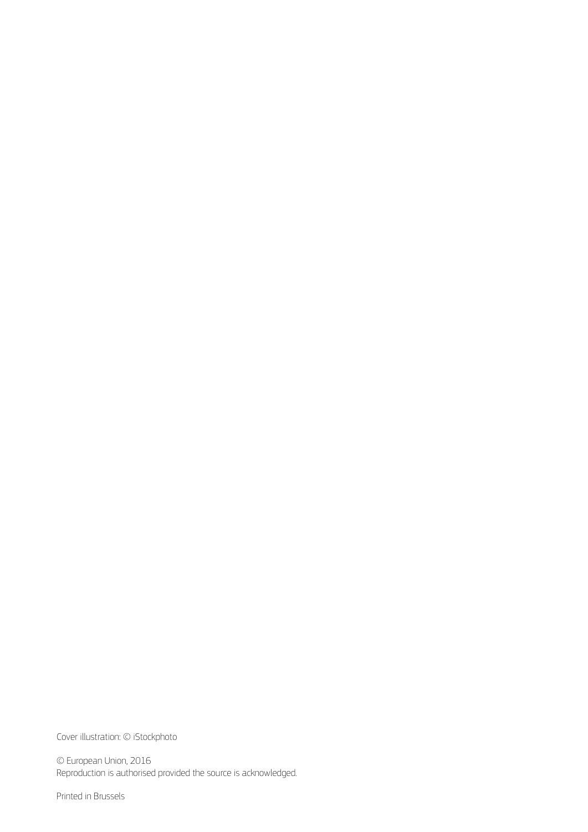Cover illustration: © iStockphoto

© European Union, 2016 Reproduction is authorised provided the source is acknowledged.

Printed in Brussels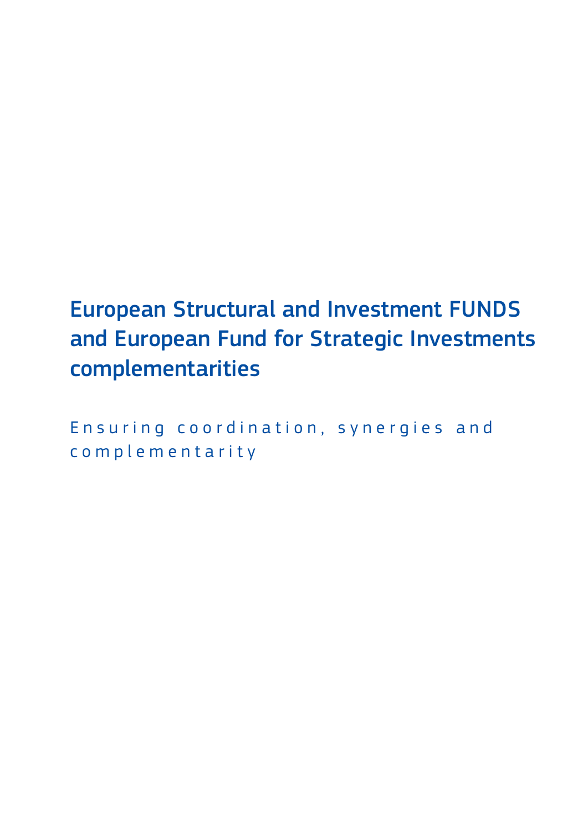# European Structural and Investment FUNDS and European Fund for Strategic Investments complementarities

Ensuring coordination, synergies and c o m p l e m e n t a r i t y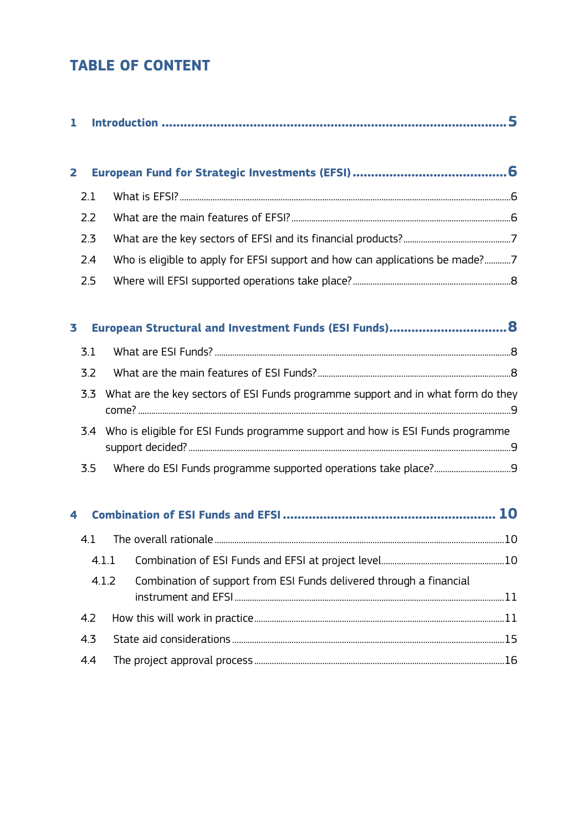# **TABLE OF CONTENT**

| 1                       |     |       |                                                                                    |  |
|-------------------------|-----|-------|------------------------------------------------------------------------------------|--|
| $\overline{\mathbf{2}}$ |     |       |                                                                                    |  |
|                         | 2.1 |       |                                                                                    |  |
|                         | 2.2 |       |                                                                                    |  |
|                         | 2.3 |       |                                                                                    |  |
|                         | 2.4 |       | Who is eligible to apply for EFSI support and how can applications be made?7       |  |
|                         | 2.5 |       |                                                                                    |  |
| 3                       |     |       |                                                                                    |  |
|                         | 3.1 |       |                                                                                    |  |
|                         | 3.2 |       |                                                                                    |  |
|                         | 3.3 |       | What are the key sectors of ESI Funds programme support and in what form do they   |  |
|                         |     |       | 3.4 Who is eligible for ESI Funds programme support and how is ESI Funds programme |  |
|                         | 3.5 |       |                                                                                    |  |
| 4                       |     |       |                                                                                    |  |
|                         | 4.1 |       |                                                                                    |  |
|                         |     |       |                                                                                    |  |
|                         |     | 4.1.2 | Combination of support from ESI Funds delivered through a financial                |  |
|                         | 4.2 |       |                                                                                    |  |
|                         | 4.3 |       |                                                                                    |  |
|                         | 4.4 |       |                                                                                    |  |
|                         |     |       |                                                                                    |  |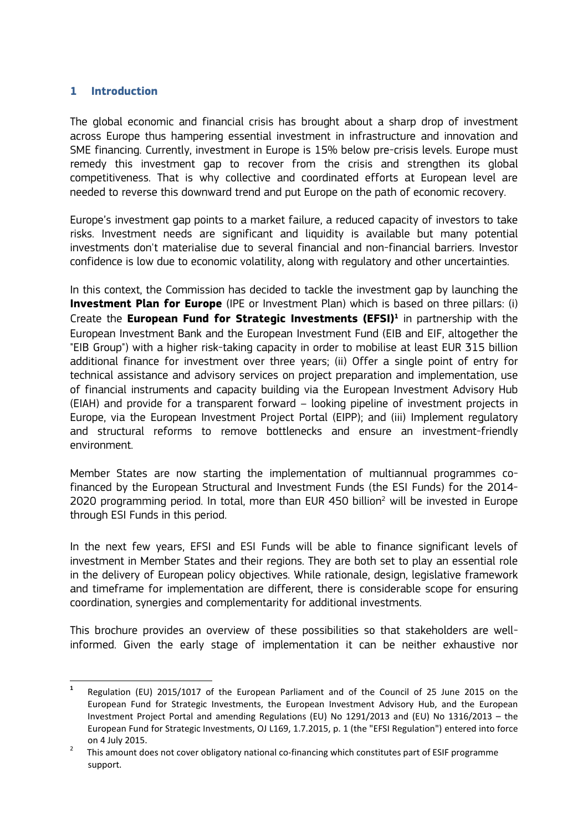#### **1 Introduction**

The global economic and financial crisis has brought about a sharp drop of investment across Europe thus hampering essential investment in infrastructure and innovation and SME financing. Currently, investment in Europe is 15% below pre-crisis levels. Europe must remedy this investment gap to recover from the crisis and strengthen its global competitiveness. That is why collective and coordinated efforts at European level are needed to reverse this downward trend and put Europe on the path of economic recovery.

Europe's investment gap points to a market failure, a reduced capacity of investors to take risks. Investment needs are significant and liquidity is available but many potential investments don't materialise due to several financial and non-financial barriers. Investor confidence is low due to economic volatility, along with regulatory and other uncertainties.

In this context, the Commission has decided to tackle the investment gap by launching the **Investment Plan for Europe** (IPE or Investment Plan) which is based on three pillars: (i) Create the **European Fund for Strategic Investments (EFSI)**<sup>1</sup> in partnership with the European Investment Bank and the European Investment Fund (EIB and EIF, altogether the "EIB Group") with a higher risk-taking capacity in order to mobilise at least EUR 315 billion additional finance for investment over three years; (ii) Offer a single point of entry for technical assistance and advisory services on project preparation and implementation, use of financial instruments and capacity building via the European Investment Advisory Hub (EIAH) and provide for a transparent forward – looking pipeline of investment projects in Europe, via the European Investment Project Portal (EIPP); and (iii) Implement regulatory and structural reforms to remove bottlenecks and ensure an investment-friendly environment.

Member States are now starting the implementation of multiannual programmes cofinanced by the European Structural and Investment Funds (the ESI Funds) for the 2014- 2020 programming period. In total, more than EUR 450 billion<sup>2</sup> will be invested in Europe through ESI Funds in this period.

In the next few years, EFSI and ESI Funds will be able to finance significant levels of investment in Member States and their regions. They are both set to play an essential role in the delivery of European policy objectives. While rationale, design, legislative framework and timeframe for implementation are different, there is considerable scope for ensuring coordination, synergies and complementarity for additional investments.

This brochure provides an overview of these possibilities so that stakeholders are wellinformed. Given the early stage of implementation it can be neither exhaustive nor

**<sup>1</sup>** Regulation (EU) 2015/1017 of the European Parliament and of the Council of 25 June 2015 on the European Fund for Strategic Investments, the European Investment Advisory Hub, and the European Investment Project Portal and amending Regulations (EU) No 1291/2013 and (EU) No 1316/2013 – the European Fund for Strategic Investments, OJ L169, 1.7.2015, p. 1 (the "EFSI Regulation") entered into force on 4 July 2015.<br>This amount does not cover obligatory national co-financing which constitutes part of ESIF programme

support.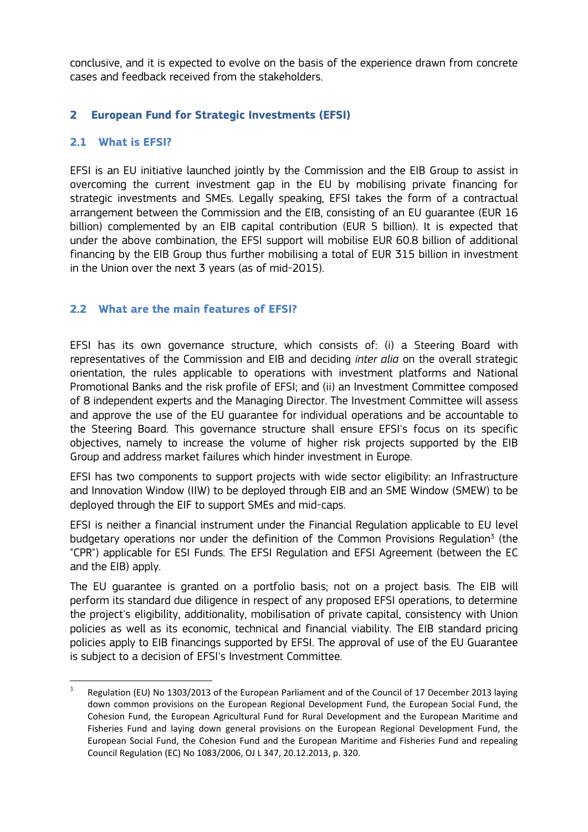conclusive, and it is expected to evolve on the basis of the experience drawn from concrete cases and feedback received from the stakeholders.

# **2 European Fund for Strategic Investments (EFSI)**

## **2.1 What is EFSI?**

EFSI is an EU initiative launched jointly by the Commission and the EIB Group to assist in overcoming the current investment gap in the EU by mobilising private financing for strategic investments and SMEs. Legally speaking, EFSI takes the form of a contractual arrangement between the Commission and the EIB, consisting of an EU guarantee (EUR 16 billion) complemented by an EIB capital contribution (EUR 5 billion). It is expected that under the above combination, the EFSI support will mobilise EUR 60.8 billion of additional financing by the EIB Group thus further mobilising a total of EUR 315 billion in investment in the Union over the next 3 years (as of mid-2015).

## **2.2 What are the main features of EFSI?**

EFSI has its own governance structure, which consists of: (i) a Steering Board with representatives of the Commission and EIB and deciding *inter alia* on the overall strategic orientation, the rules applicable to operations with investment platforms and National Promotional Banks and the risk profile of EFSI; and (ii) an Investment Committee composed of 8 independent experts and the Managing Director. The Investment Committee will assess and approve the use of the EU guarantee for individual operations and be accountable to the Steering Board. This governance structure shall ensure EFSI's focus on its specific objectives, namely to increase the volume of higher risk projects supported by the EIB Group and address market failures which hinder investment in Europe.

EFSI has two components to support projects with wide sector eligibility: an Infrastructure and Innovation Window (IIW) to be deployed through EIB and an SME Window (SMEW) to be deployed through the EIF to support SMEs and mid-caps.

EFSI is neither a financial instrument under the Financial Regulation applicable to EU level budgetary operations nor under the definition of the Common Provisions Regulation<sup>3</sup> (the "CPR") applicable for ESI Funds. The EFSI Regulation and EFSI Agreement (between the EC and the EIB) apply.

The EU guarantee is granted on a portfolio basis; not on a project basis. The EIB will perform its standard due diligence in respect of any proposed EFSI operations, to determine the project's eligibility, additionality, mobilisation of private capital, consistency with Union policies as well as its economic, technical and financial viability. The EIB standard pricing policies apply to EIB financings supported by EFSI. The approval of use of the EU Guarantee is subject to a decision of EFSI's Investment Committee.

 $\overline{\mathbf{3}}$ Regulation (EU) No 1303/2013 of the European Parliament and of the Council of 17 December 2013 laying down common provisions on the European Regional Development Fund, the European Social Fund, the Cohesion Fund, the European Agricultural Fund for Rural Development and the European Maritime and Fisheries Fund and laying down general provisions on the European Regional Development Fund, the European Social Fund, the Cohesion Fund and the European Maritime and Fisheries Fund and repealing Council Regulation (EC) No 1083/2006, OJ L 347, 20.12.2013, p. 320.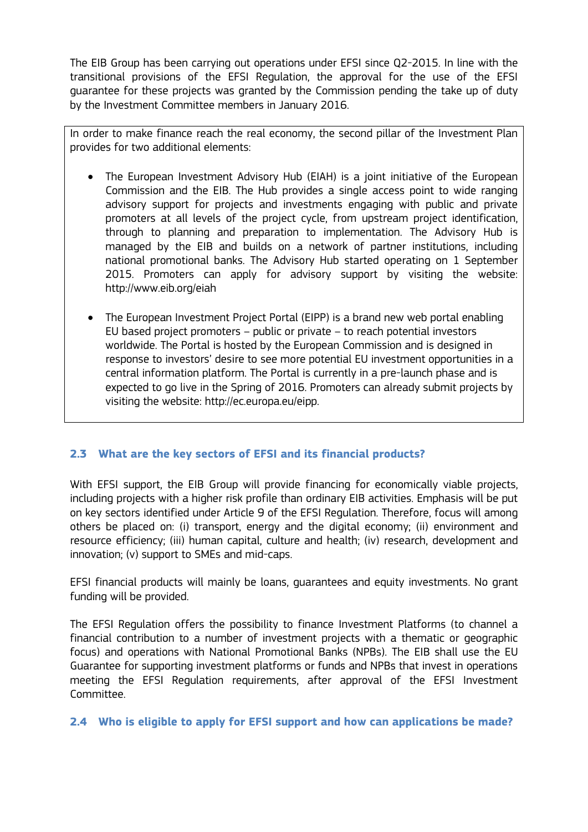The EIB Group has been carrying out operations under EFSI since Q2-2015. In line with the transitional provisions of the EFSI Regulation, the approval for the use of the EFSI guarantee for these projects was granted by the Commission pending the take up of duty by the Investment Committee members in January 2016.

In order to make finance reach the real economy, the second pillar of the Investment Plan provides for two additional elements:

- The European Investment Advisory Hub (EIAH) is a joint initiative of the European Commission and the EIB. The Hub provides a single access point to wide ranging advisory support for projects and investments engaging with public and private promoters at all levels of the project cycle, from upstream project identification, through to planning and preparation to implementation. The Advisory Hub is managed by the EIB and builds on a network of partner institutions, including national promotional banks. The Advisory Hub started operating on 1 September 2015. Promoters can apply for advisory support by visiting the website: http://www.eib.org/eiah
- The European Investment Project Portal (EIPP) is a brand new web portal enabling EU based project promoters – public or private – to reach potential investors worldwide. The Portal is hosted by the European Commission and is designed in response to investors' desire to see more potential EU investment opportunities in a central information platform. The Portal is currently in a pre-launch phase and is expected to go live in the Spring of 2016. Promoters can already submit projects by visiting the website: http://ec.europa.eu/eipp.

# **2.3 What are the key sectors of EFSI and its financial products?**

With EFSI support, the EIB Group will provide financing for economically viable projects, including projects with a higher risk profile than ordinary EIB activities. Emphasis will be put on key sectors identified under Article 9 of the EFSI Regulation. Therefore, focus will among others be placed on: (i) transport, energy and the digital economy; (ii) environment and resource efficiency; (iii) human capital, culture and health; (iv) research, development and innovation; (v) support to SMEs and mid-caps.

EFSI financial products will mainly be loans, guarantees and equity investments. No grant funding will be provided.

The EFSI Regulation offers the possibility to finance Investment Platforms (to channel a financial contribution to a number of investment projects with a thematic or geographic focus) and operations with National Promotional Banks (NPBs). The EIB shall use the EU Guarantee for supporting investment platforms or funds and NPBs that invest in operations meeting the EFSI Regulation requirements, after approval of the EFSI Investment Committee.

## **2.4 Who is eligible to apply for EFSI support and how can applications be made?**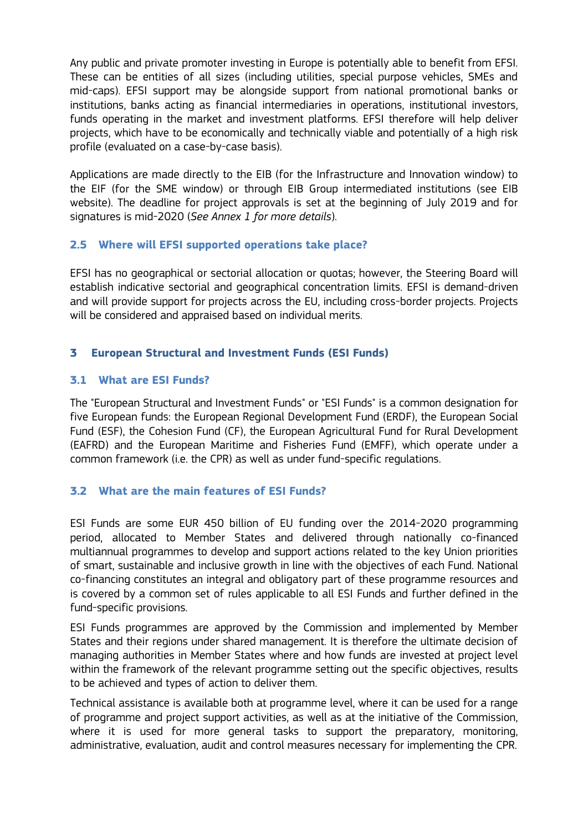Any public and private promoter investing in Europe is potentially able to benefit from EFSI. These can be entities of all sizes (including utilities, special purpose vehicles, SMEs and mid-caps). EFSI support may be alongside support from national promotional banks or institutions, banks acting as financial intermediaries in operations, institutional investors, funds operating in the market and investment platforms. EFSI therefore will help deliver projects, which have to be economically and technically viable and potentially of a high risk profile (evaluated on a case-by-case basis).

Applications are made directly to the EIB (for the Infrastructure and Innovation window) to the EIF (for the SME window) or through EIB Group intermediated institutions (see EIB website). The deadline for project approvals is set at the beginning of July 2019 and for signatures is mid-2020 (*See Annex 1 for more details*).

# **2.5 Where will EFSI supported operations take place?**

EFSI has no geographical or sectorial allocation or quotas; however, the Steering Board will establish indicative sectorial and geographical concentration limits. EFSI is demand-driven and will provide support for projects across the EU, including cross-border projects. Projects will be considered and appraised based on individual merits.

# **3 European Structural and Investment Funds (ESI Funds)**

## **3.1 What are ESI Funds?**

The "European Structural and Investment Funds" or "ESI Funds" is a common designation for five European funds: the European Regional Development Fund (ERDF), the European Social Fund (ESF), the Cohesion Fund (CF), the European Agricultural Fund for Rural Development (EAFRD) and the European Maritime and Fisheries Fund (EMFF), which operate under a common framework (i.e. the CPR) as well as under fund-specific regulations.

## **3.2 What are the main features of ESI Funds?**

ESI Funds are some EUR 450 billion of EU funding over the 2014-2020 programming period, allocated to Member States and delivered through nationally co-financed multiannual programmes to develop and support actions related to the key Union priorities of smart, sustainable and inclusive growth in line with the objectives of each Fund. National co-financing constitutes an integral and obligatory part of these programme resources and is covered by a common set of rules applicable to all ESI Funds and further defined in the fund-specific provisions.

ESI Funds programmes are approved by the Commission and implemented by Member States and their regions under shared management. It is therefore the ultimate decision of managing authorities in Member States where and how funds are invested at project level within the framework of the relevant programme setting out the specific objectives, results to be achieved and types of action to deliver them.

Technical assistance is available both at programme level, where it can be used for a range of programme and project support activities, as well as at the initiative of the Commission, where it is used for more general tasks to support the preparatory, monitoring, administrative, evaluation, audit and control measures necessary for implementing the CPR.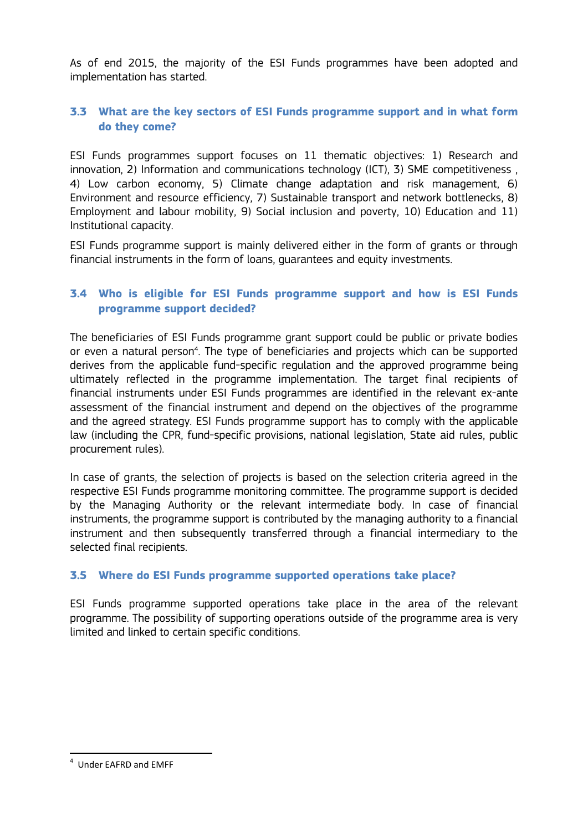As of end 2015, the majority of the ESI Funds programmes have been adopted and implementation has started.

# **3.3 What are the key sectors of ESI Funds programme support and in what form do they come?**

ESI Funds programmes support focuses on 11 thematic objectives: 1) Research and innovation, 2) Information and communications technology (ICT), 3) SME competitiveness , 4) Low carbon economy, 5) Climate change adaptation and risk management, 6) Environment and resource efficiency, 7) Sustainable transport and network bottlenecks, 8) Employment and labour mobility, 9) Social inclusion and poverty, 10) Education and 11) Institutional capacity.

ESI Funds programme support is mainly delivered either in the form of grants or through financial instruments in the form of loans, guarantees and equity investments.

# **3.4 Who is eligible for ESI Funds programme support and how is ESI Funds programme support decided?**

The beneficiaries of ESI Funds programme grant support could be public or private bodies or even a natural person<sup>4</sup>. The type of beneficiaries and projects which can be supported derives from the applicable fund-specific regulation and the approved programme being ultimately reflected in the programme implementation. The target final recipients of financial instruments under ESI Funds programmes are identified in the relevant ex-ante assessment of the financial instrument and depend on the objectives of the programme and the agreed strategy. ESI Funds programme support has to comply with the applicable law (including the CPR, fund-specific provisions, national legislation, State aid rules, public procurement rules).

In case of grants, the selection of projects is based on the selection criteria agreed in the respective ESI Funds programme monitoring committee. The programme support is decided by the Managing Authority or the relevant intermediate body. In case of financial instruments, the programme support is contributed by the managing authority to a financial instrument and then subsequently transferred through a financial intermediary to the selected final recipients.

## **3.5 Where do ESI Funds programme supported operations take place?**

ESI Funds programme supported operations take place in the area of the relevant programme. The possibility of supporting operations outside of the programme area is very limited and linked to certain specific conditions.

 <sup>4</sup> Under EAFRD and EMFF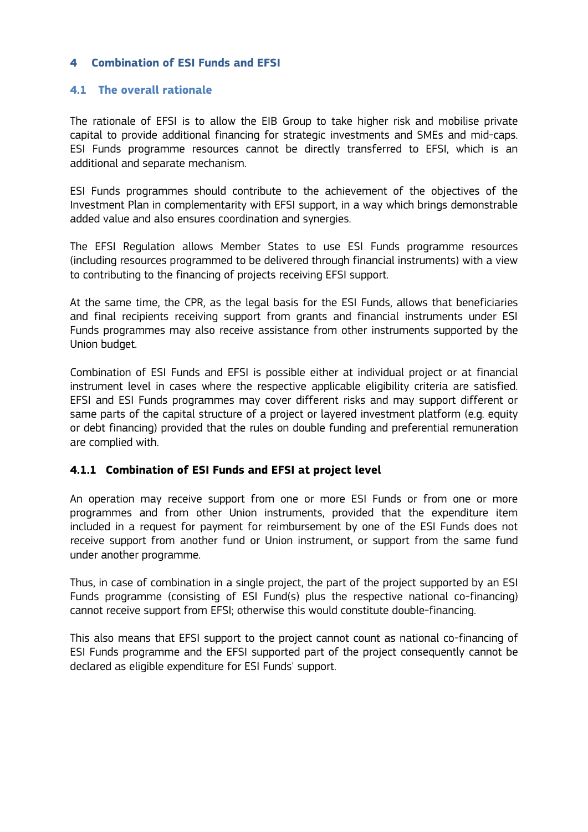## **4 Combination of ESI Funds and EFSI**

#### **4.1 The overall rationale**

The rationale of EFSI is to allow the EIB Group to take higher risk and mobilise private capital to provide additional financing for strategic investments and SMEs and mid-caps. ESI Funds programme resources cannot be directly transferred to EFSI, which is an additional and separate mechanism.

ESI Funds programmes should contribute to the achievement of the objectives of the Investment Plan in complementarity with EFSI support, in a way which brings demonstrable added value and also ensures coordination and synergies.

The EFSI Regulation allows Member States to use ESI Funds programme resources (including resources programmed to be delivered through financial instruments) with a view to contributing to the financing of projects receiving EFSI support.

At the same time, the CPR, as the legal basis for the ESI Funds, allows that beneficiaries and final recipients receiving support from grants and financial instruments under ESI Funds programmes may also receive assistance from other instruments supported by the Union budget.

Combination of ESI Funds and EFSI is possible either at individual project or at financial instrument level in cases where the respective applicable eligibility criteria are satisfied. EFSI and ESI Funds programmes may cover different risks and may support different or same parts of the capital structure of a project or layered investment platform (e.g. equity or debt financing) provided that the rules on double funding and preferential remuneration are complied with.

#### **4.1.1 Combination of ESI Funds and EFSI at project level**

An operation may receive support from one or more ESI Funds or from one or more programmes and from other Union instruments, provided that the expenditure item included in a request for payment for reimbursement by one of the ESI Funds does not receive support from another fund or Union instrument, or support from the same fund under another programme.

Thus, in case of combination in a single project, the part of the project supported by an ESI Funds programme (consisting of ESI Fund(s) plus the respective national co-financing) cannot receive support from EFSI; otherwise this would constitute double-financing.

This also means that EFSI support to the project cannot count as national co-financing of ESI Funds programme and the EFSI supported part of the project consequently cannot be declared as eligible expenditure for ESI Funds' support.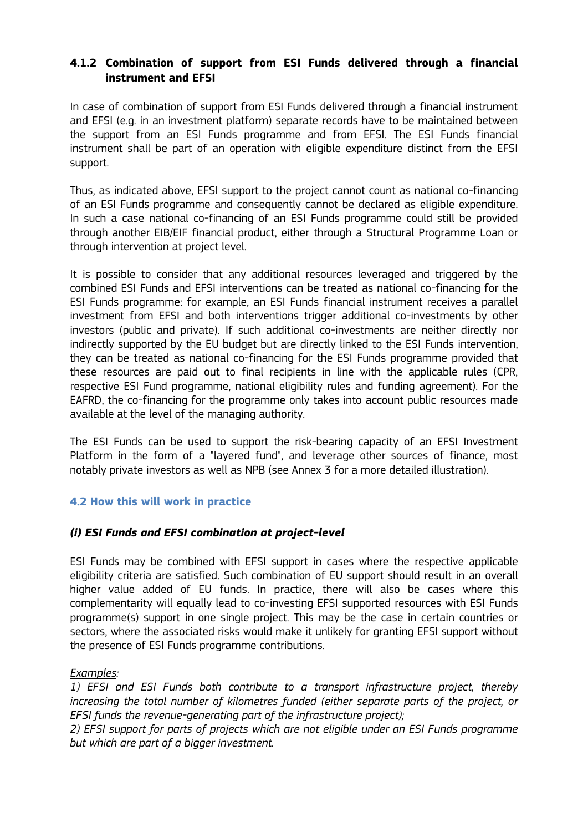# **4.1.2 Combination of support from ESI Funds delivered through a financial instrument and EFSI**

In case of combination of support from ESI Funds delivered through a financial instrument and EFSI (e.g. in an investment platform) separate records have to be maintained between the support from an ESI Funds programme and from EFSI. The ESI Funds financial instrument shall be part of an operation with eligible expenditure distinct from the EFSI support.

Thus, as indicated above, EFSI support to the project cannot count as national co-financing of an ESI Funds programme and consequently cannot be declared as eligible expenditure. In such a case national co-financing of an ESI Funds programme could still be provided through another EIB/EIF financial product, either through a Structural Programme Loan or through intervention at project level.

It is possible to consider that any additional resources leveraged and triggered by the combined ESI Funds and EFSI interventions can be treated as national co-financing for the ESI Funds programme: for example, an ESI Funds financial instrument receives a parallel investment from EFSI and both interventions trigger additional co-investments by other investors (public and private). If such additional co-investments are neither directly nor indirectly supported by the EU budget but are directly linked to the ESI Funds intervention, they can be treated as national co-financing for the ESI Funds programme provided that these resources are paid out to final recipients in line with the applicable rules (CPR, respective ESI Fund programme, national eligibility rules and funding agreement). For the EAFRD, the co-financing for the programme only takes into account public resources made available at the level of the managing authority.

The ESI Funds can be used to support the risk-bearing capacity of an EFSI Investment Platform in the form of a "layered fund", and leverage other sources of finance, most notably private investors as well as NPB (see Annex 3 for a more detailed illustration).

## **4.2 How this will work in practice**

## *(i) ESI Funds and EFSI combination at project-level*

ESI Funds may be combined with EFSI support in cases where the respective applicable eligibility criteria are satisfied. Such combination of EU support should result in an overall higher value added of EU funds. In practice, there will also be cases where this complementarity will equally lead to co-investing EFSI supported resources with ESI Funds programme(s) support in one single project. This may be the case in certain countries or sectors, where the associated risks would make it unlikely for granting EFSI support without the presence of ESI Funds programme contributions.

*Examples:* 

*1) EFSI and ESI Funds both contribute to a transport infrastructure project, thereby increasing the total number of kilometres funded (either separate parts of the project, or EFSI funds the revenue-generating part of the infrastructure project);* 

*2) EFSI support for parts of projects which are not eligible under an ESI Funds programme but which are part of a bigger investment.*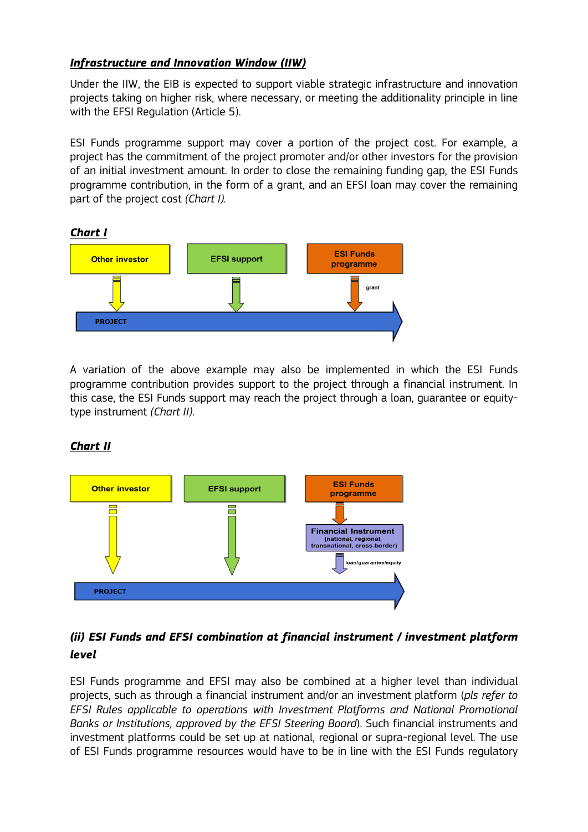# *Infrastructure and Innovation Window (IIW)*

Under the IIW, the EIB is expected to support viable strategic infrastructure and innovation projects taking on higher risk, where necessary, or meeting the additionality principle in line with the EFSI Regulation (Article 5).

ESI Funds programme support may cover a portion of the project cost. For example, a project has the commitment of the project promoter and/or other investors for the provision of an initial investment amount. In order to close the remaining funding gap, the ESI Funds programme contribution, in the form of a grant, and an EFSI loan may cover the remaining part of the project cost *(Chart I).*



A variation of the above example may also be implemented in which the ESI Funds programme contribution provides support to the project through a financial instrument. In this case, the ESI Funds support may reach the project through a loan, guarantee or equitytype instrument *(Chart II)*.

# *Chart II*



# *(ii) ESI Funds and EFSI combination at financial instrument / investment platform level*

ESI Funds programme and EFSI may also be combined at a higher level than individual projects, such as through a financial instrument and/or an investment platform (*pls refer to EFSI Rules applicable to operations with Investment Platforms and National Promotional Banks or Institutions, approved by the EFSI Steering Board*). Such financial instruments and investment platforms could be set up at national, regional or supra-regional level. The use of ESI Funds programme resources would have to be in line with the ESI Funds regulatory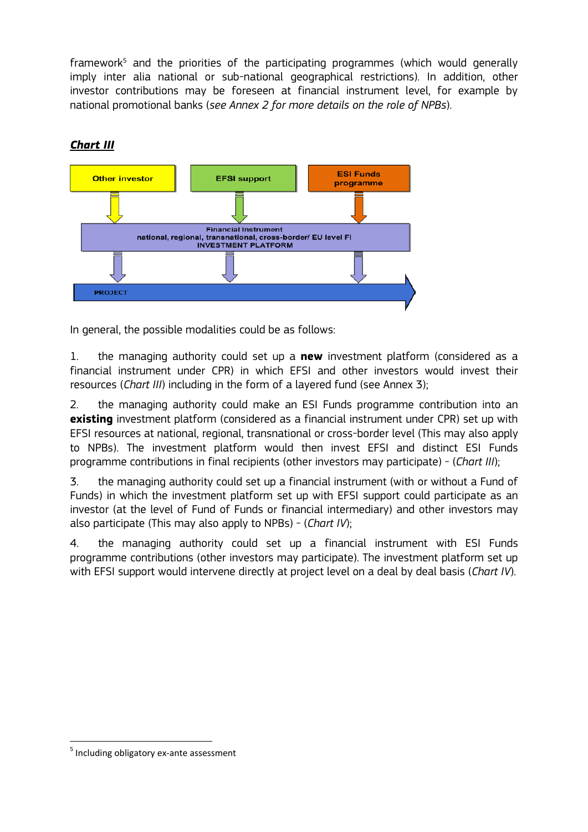framework<sup>5</sup> and the priorities of the participating programmes (which would generally imply inter alia national or sub-national geographical restrictions). In addition, other investor contributions may be foreseen at financial instrument level, for example by national promotional banks (*see Annex 2 for more details on the role of NPBs*).



# *Chart III*

In general, the possible modalities could be as follows:

1. the managing authority could set up a **new** investment platform (considered as a financial instrument under CPR) in which EFSI and other investors would invest their resources (*Chart III*) including in the form of a layered fund (see Annex 3);

2. the managing authority could make an ESI Funds programme contribution into an **existing** investment platform (considered as a financial instrument under CPR) set up with EFSI resources at national, regional, transnational or cross-border level (This may also apply to NPBs). The investment platform would then invest EFSI and distinct ESI Funds programme contributions in final recipients (other investors may participate) - (*Chart III*);

3. the managing authority could set up a financial instrument (with or without a Fund of Funds) in which the investment platform set up with EFSI support could participate as an investor (at the level of Fund of Funds or financial intermediary) and other investors may also participate (This may also apply to NPBs) - (*Chart IV*);

4. the managing authority could set up a financial instrument with ESI Funds programme contributions (other investors may participate). The investment platform set up with EFSI support would intervene directly at project level on a deal by deal basis (*Chart IV*).

 <sup>5</sup> Including obligatory ex-ante assessment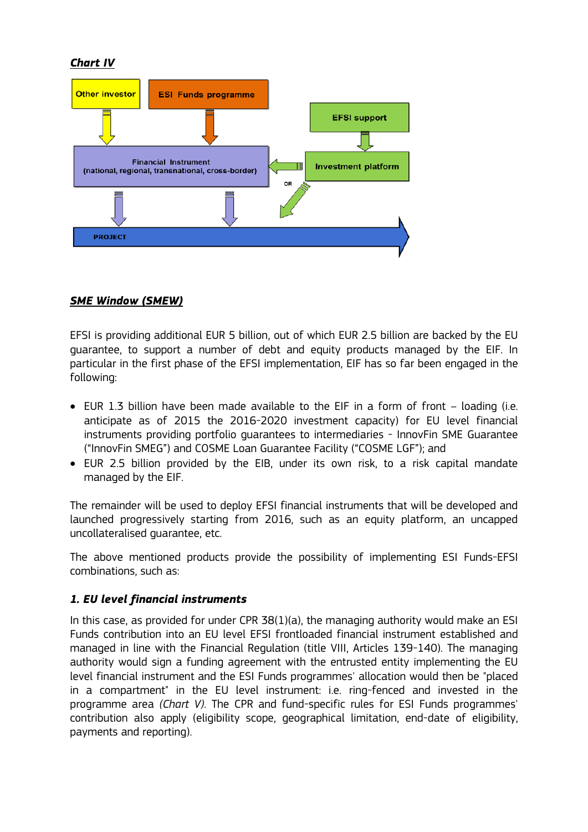# *Chart IV*



# *SME Window (SMEW)*

EFSI is providing additional EUR 5 billion, out of which EUR 2.5 billion are backed by the EU guarantee, to support a number of debt and equity products managed by the EIF. In particular in the first phase of the EFSI implementation, EIF has so far been engaged in the following:

- EUR 1.3 billion have been made available to the EIF in a form of front loading (i.e. anticipate as of 2015 the 2016-2020 investment capacity) for EU level financial instruments providing portfolio guarantees to intermediaries - InnovFin SME Guarantee ("InnovFin SMEG") and COSME Loan Guarantee Facility ("COSME LGF"); and
- EUR 2.5 billion provided by the EIB, under its own risk, to a risk capital mandate managed by the EIF.

The remainder will be used to deploy EFSI financial instruments that will be developed and launched progressively starting from 2016, such as an equity platform, an uncapped uncollateralised guarantee, etc.

The above mentioned products provide the possibility of implementing ESI Funds-EFSI combinations, such as:

## *1. EU level financial instruments*

In this case, as provided for under CPR  $38(1)(a)$ , the managing authority would make an ESI Funds contribution into an EU level EFSI frontloaded financial instrument established and managed in line with the Financial Regulation (title VIII, Articles 139-140). The managing authority would sign a funding agreement with the entrusted entity implementing the EU level financial instrument and the ESI Funds programmes' allocation would then be "placed in a compartment" in the EU level instrument: i.e. ring-fenced and invested in the programme area *(Chart V)*. The CPR and fund-specific rules for ESI Funds programmes' contribution also apply (eligibility scope, geographical limitation, end-date of eligibility, payments and reporting).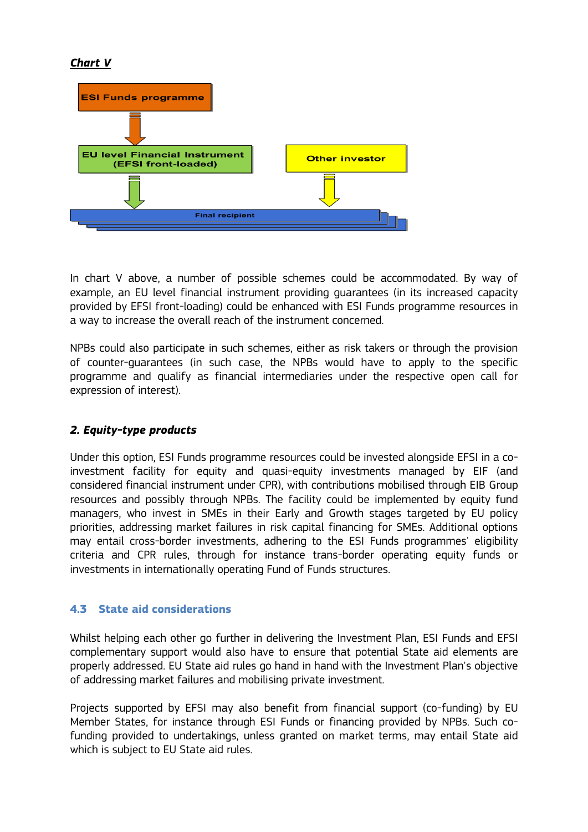# *Chart V*



In chart V above, a number of possible schemes could be accommodated. By way of example, an EU level financial instrument providing guarantees (in its increased capacity provided by EFSI front-loading) could be enhanced with ESI Funds programme resources in a way to increase the overall reach of the instrument concerned.

NPBs could also participate in such schemes, either as risk takers or through the provision of counter-guarantees (in such case, the NPBs would have to apply to the specific programme and qualify as financial intermediaries under the respective open call for expression of interest).

## *2. Equity-type products*

Under this option, ESI Funds programme resources could be invested alongside EFSI in a coinvestment facility for equity and quasi-equity investments managed by EIF (and considered financial instrument under CPR), with contributions mobilised through EIB Group resources and possibly through NPBs. The facility could be implemented by equity fund managers, who invest in SMEs in their Early and Growth stages targeted by EU policy priorities, addressing market failures in risk capital financing for SMEs. Additional options may entail cross-border investments, adhering to the ESI Funds programmes' eligibility criteria and CPR rules, through for instance trans-border operating equity funds or investments in internationally operating Fund of Funds structures.

## **4.3 State aid considerations**

Whilst helping each other go further in delivering the Investment Plan, ESI Funds and EFSI complementary support would also have to ensure that potential State aid elements are properly addressed. EU State aid rules go hand in hand with the Investment Plan's objective of addressing market failures and mobilising private investment.

Projects supported by EFSI may also benefit from financial support (co-funding) by EU Member States, for instance through ESI Funds or financing provided by NPBs. Such cofunding provided to undertakings, unless granted on market terms, may entail State aid which is subject to EU State aid rules.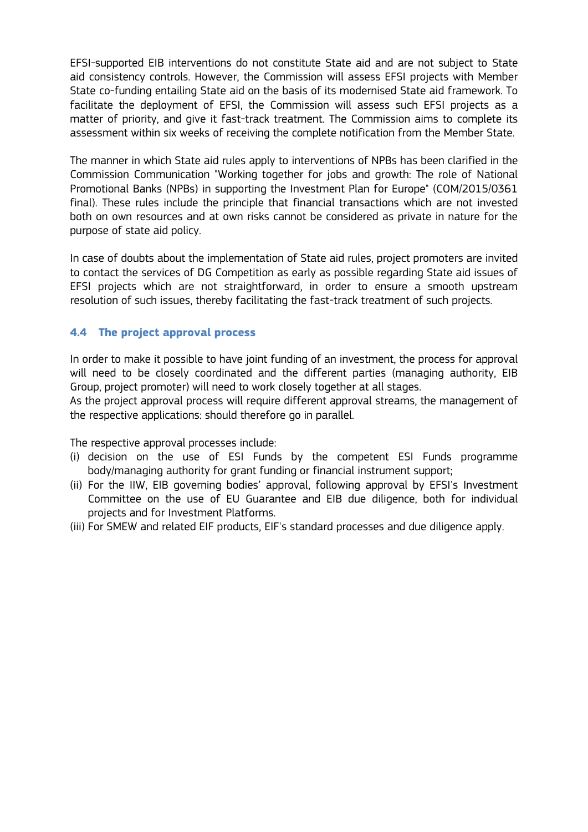EFSI-supported EIB interventions do not constitute State aid and are not subject to State aid consistency controls. However, the Commission will assess EFSI projects with Member State co-funding entailing State aid on the basis of its modernised State aid framework. To facilitate the deployment of EFSI, the Commission will assess such EFSI projects as a matter of priority, and give it fast-track treatment. The Commission aims to complete its assessment within six weeks of receiving the complete notification from the Member State.

The manner in which State aid rules apply to interventions of NPBs has been clarified in the Commission Communication "Working together for jobs and growth: The role of National Promotional Banks (NPBs) in supporting the Investment Plan for Europe" (COM/2015/0361 final). These rules include the principle that financial transactions which are not invested both on own resources and at own risks cannot be considered as private in nature for the purpose of state aid policy.

In case of doubts about the implementation of State aid rules, project promoters are invited to contact the services of DG Competition as early as possible regarding State aid issues of EFSI projects which are not straightforward, in order to ensure a smooth upstream resolution of such issues, thereby facilitating the fast-track treatment of such projects.

## **4.4 The project approval process**

In order to make it possible to have joint funding of an investment, the process for approval will need to be closely coordinated and the different parties (managing authority, EIB Group, project promoter) will need to work closely together at all stages.

As the project approval process will require different approval streams, the management of the respective applications: should therefore go in parallel.

The respective approval processes include:

- (i) decision on the use of ESI Funds by the competent ESI Funds programme body/managing authority for grant funding or financial instrument support;
- (ii) For the IIW, EIB governing bodies' approval, following approval by EFSI's Investment Committee on the use of EU Guarantee and EIB due diligence, both for individual projects and for Investment Platforms.
- (iii) For SMEW and related EIF products, EIF's standard processes and due diligence apply.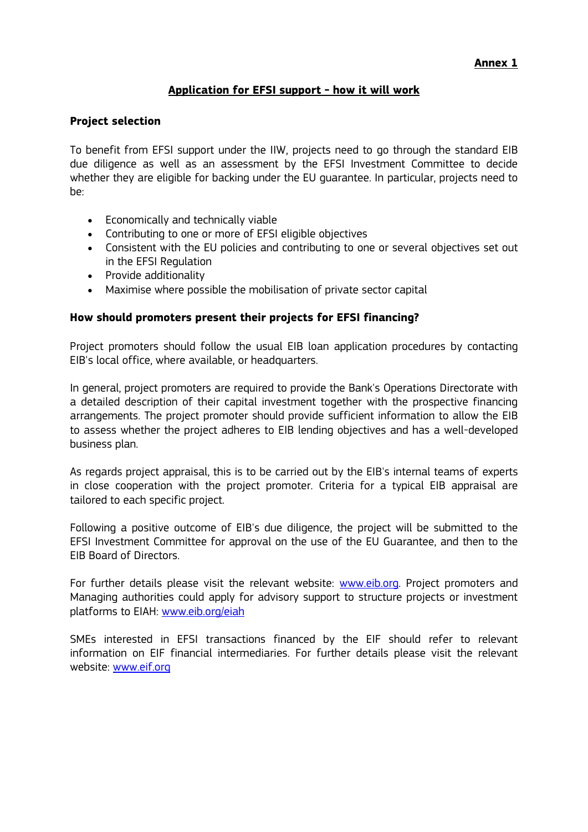# **Application for EFSI support - how it will work**

#### **Project selection**

To benefit from EFSI support under the IIW, projects need to go through the standard EIB due diligence as well as an assessment by the EFSI Investment Committee to decide whether they are eligible for backing under the EU guarantee. In particular, projects need to be:

- Economically and technically viable
- Contributing to one or more of EFSI eligible objectives
- Consistent with the EU policies and contributing to one or several objectives set out in the EFSI Regulation
- Provide additionality
- Maximise where possible the mobilisation of private sector capital

#### **How should promoters present their projects for EFSI financing?**

Project promoters should follow the usual EIB loan application procedures by contacting EIB's local office, where available, or headquarters.

In general, project promoters are required to provide the Bank's Operations Directorate with a detailed description of their capital investment together with the prospective financing arrangements. The project promoter should provide sufficient information to allow the EIB to assess whether the project adheres to EIB lending objectives and has a well-developed business plan.

As regards project appraisal, this is to be carried out by the EIB's internal teams of experts in close cooperation with the project promoter. Criteria for a typical EIB appraisal are tailored to each specific project.

Following a positive outcome of EIB's due diligence, the project will be submitted to the EFSI Investment Committee for approval on the use of the EU Guarantee, and then to the EIB Board of Directors.

For further details please visit the relevant website: www.eib.org. Project promoters and Managing authorities could apply for advisory support to structure projects or investment platforms to EIAH: www.eib.org/eiah

SMEs interested in EFSI transactions financed by the EIF should refer to relevant information on EIF financial intermediaries. For further details please visit the relevant website: www.eif.org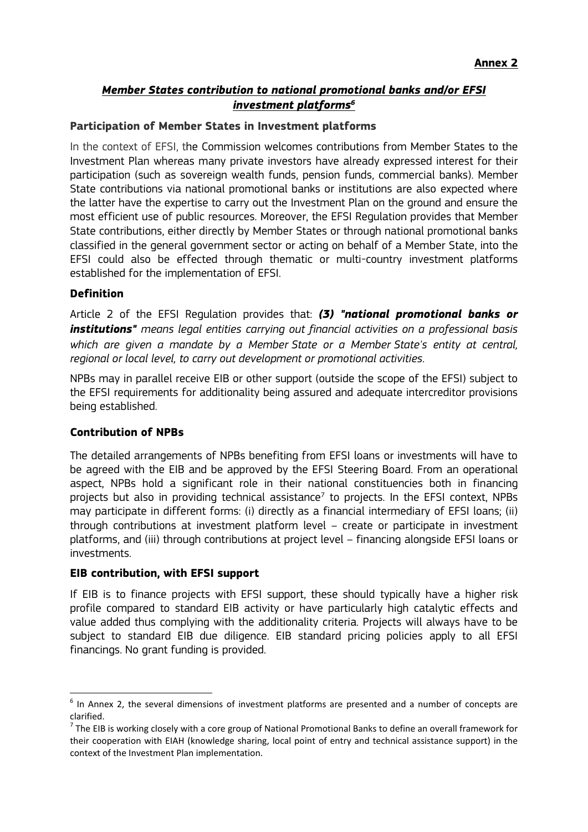# *Member States contribution to national promotional banks and/or EFSI investment platforms6*

#### **Participation of Member States in Investment platforms**

In the context of EFSI, the Commission welcomes contributions from Member States to the Investment Plan whereas many private investors have already expressed interest for their participation (such as sovereign wealth funds, pension funds, commercial banks). Member State contributions via national promotional banks or institutions are also expected where the latter have the expertise to carry out the Investment Plan on the ground and ensure the most efficient use of public resources. Moreover, the EFSI Regulation provides that Member State contributions, either directly by Member States or through national promotional banks classified in the general government sector or acting on behalf of a Member State, into the EFSI could also be effected through thematic or multi-country investment platforms established for the implementation of EFSI.

#### **Definition**

Article 2 of the EFSI Regulation provides that: *(3) "national promotional banks or institutions" means legal entities carrying out financial activities on a professional basis which are given a mandate by a Member State or a Member State's entity at central, regional or local level, to carry out development or promotional activities*.

NPBs may in parallel receive EIB or other support (outside the scope of the EFSI) subject to the EFSI requirements for additionality being assured and adequate intercreditor provisions being established.

## **Contribution of NPBs**

The detailed arrangements of NPBs benefiting from EFSI loans or investments will have to be agreed with the EIB and be approved by the EFSI Steering Board. From an operational aspect, NPBs hold a significant role in their national constituencies both in financing projects but also in providing technical assistance<sup>7</sup> to projects. In the EFSI context, NPBs may participate in different forms: (i) directly as a financial intermediary of EFSI loans; (ii) through contributions at investment platform level – create or participate in investment platforms, and (iii) through contributions at project level – financing alongside EFSI loans or investments.

## **EIB contribution, with EFSI support**

If EIB is to finance projects with EFSI support, these should typically have a higher risk profile compared to standard EIB activity or have particularly high catalytic effects and value added thus complying with the additionality criteria. Projects will always have to be subject to standard EIB due diligence. EIB standard pricing policies apply to all EFSI financings. No grant funding is provided.

 $6$  In Annex 2, the several dimensions of investment platforms are presented and a number of concepts are clarified.

 $<sup>7</sup>$  The EIB is working closely with a core group of National Promotional Banks to define an overall framework for</sup> their cooperation with EIAH (knowledge sharing, local point of entry and technical assistance support) in the context of the Investment Plan implementation.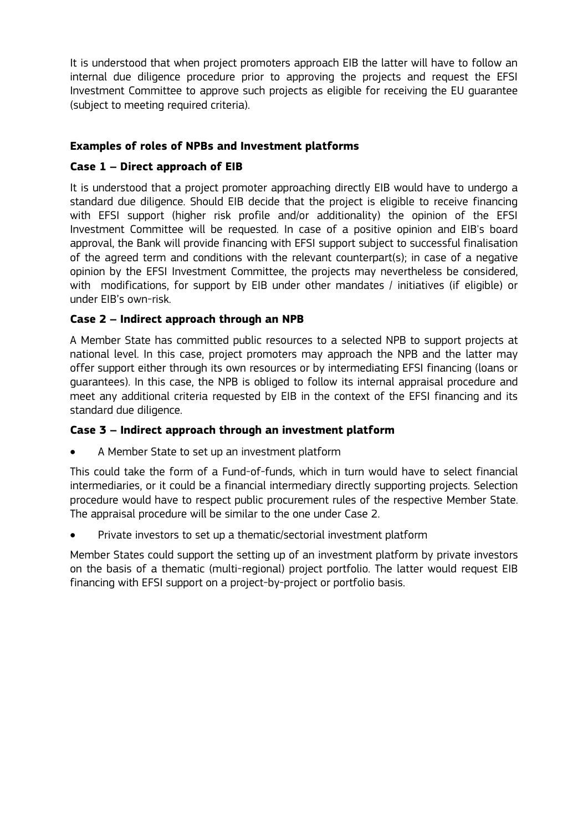It is understood that when project promoters approach EIB the latter will have to follow an internal due diligence procedure prior to approving the projects and request the EFSI Investment Committee to approve such projects as eligible for receiving the EU guarantee (subject to meeting required criteria).

# **Examples of roles of NPBs and Investment platforms**

# **Case 1 – Direct approach of EIB**

It is understood that a project promoter approaching directly EIB would have to undergo a standard due diligence. Should EIB decide that the project is eligible to receive financing with EFSI support (higher risk profile and/or additionality) the opinion of the EFSI Investment Committee will be requested. In case of a positive opinion and EIB's board approval, the Bank will provide financing with EFSI support subject to successful finalisation of the agreed term and conditions with the relevant counterpart(s); in case of a negative opinion by the EFSI Investment Committee, the projects may nevertheless be considered, with modifications, for support by EIB under other mandates / initiatives (if eligible) or under EIB's own-risk.

# **Case 2 – Indirect approach through an NPB**

A Member State has committed public resources to a selected NPB to support projects at national level. In this case, project promoters may approach the NPB and the latter may offer support either through its own resources or by intermediating EFSI financing (loans or guarantees). In this case, the NPB is obliged to follow its internal appraisal procedure and meet any additional criteria requested by EIB in the context of the EFSI financing and its standard due diligence.

# **Case 3 – Indirect approach through an investment platform**

A Member State to set up an investment platform

This could take the form of a Fund-of-funds, which in turn would have to select financial intermediaries, or it could be a financial intermediary directly supporting projects. Selection procedure would have to respect public procurement rules of the respective Member State. The appraisal procedure will be similar to the one under Case 2.

Private investors to set up a thematic/sectorial investment platform

Member States could support the setting up of an investment platform by private investors on the basis of a thematic (multi-regional) project portfolio. The latter would request EIB financing with EFSI support on a project-by-project or portfolio basis.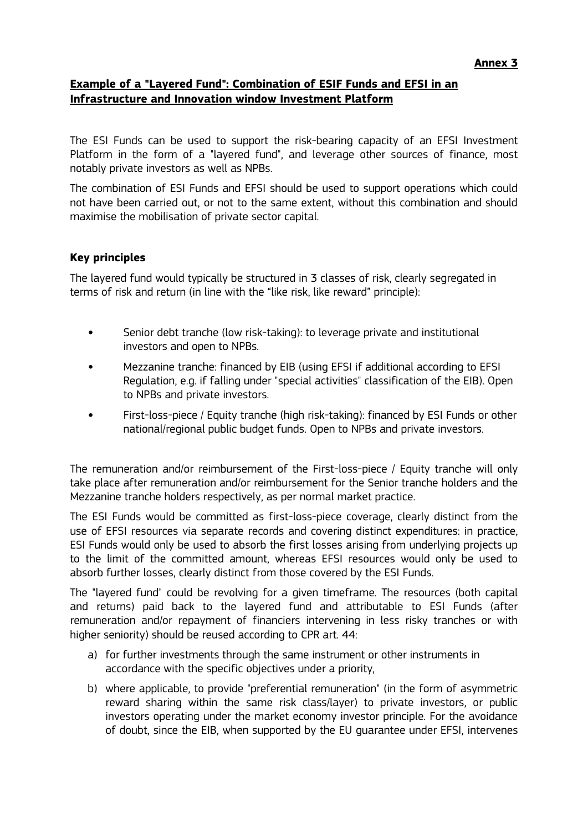# **Example of a "Layered Fund": Combination of ESIF Funds and EFSI in an Infrastructure and Innovation window Investment Platform**

The ESI Funds can be used to support the risk-bearing capacity of an EFSI Investment Platform in the form of a "layered fund", and leverage other sources of finance, most notably private investors as well as NPBs.

The combination of ESI Funds and EFSI should be used to support operations which could not have been carried out, or not to the same extent, without this combination and should maximise the mobilisation of private sector capital.

## **Key principles**

The layered fund would typically be structured in 3 classes of risk, clearly segregated in terms of risk and return (in line with the "like risk, like reward" principle):

- Senior debt tranche (low risk-taking): to leverage private and institutional investors and open to NPBs.
- Mezzanine tranche: financed by EIB (using EFSI if additional according to EFSI Regulation, e.g. if falling under "special activities" classification of the EIB). Open to NPBs and private investors.
- First-loss-piece / Equity tranche (high risk-taking): financed by ESI Funds or other national/regional public budget funds. Open to NPBs and private investors.

The remuneration and/or reimbursement of the First-loss-piece / Equity tranche will only take place after remuneration and/or reimbursement for the Senior tranche holders and the Mezzanine tranche holders respectively, as per normal market practice.

The ESI Funds would be committed as first-loss-piece coverage, clearly distinct from the use of EFSI resources via separate records and covering distinct expenditures: in practice, ESI Funds would only be used to absorb the first losses arising from underlying projects up to the limit of the committed amount, whereas EFSI resources would only be used to absorb further losses, clearly distinct from those covered by the ESI Funds.

The "layered fund" could be revolving for a given timeframe. The resources (both capital and returns) paid back to the layered fund and attributable to ESI Funds (after remuneration and/or repayment of financiers intervening in less risky tranches or with higher seniority) should be reused according to CPR art. 44:

- a) for further investments through the same instrument or other instruments in accordance with the specific objectives under a priority,
- b) where applicable, to provide "preferential remuneration" (in the form of asymmetric reward sharing within the same risk class/layer) to private investors, or public investors operating under the market economy investor principle. For the avoidance of doubt, since the EIB, when supported by the EU guarantee under EFSI, intervenes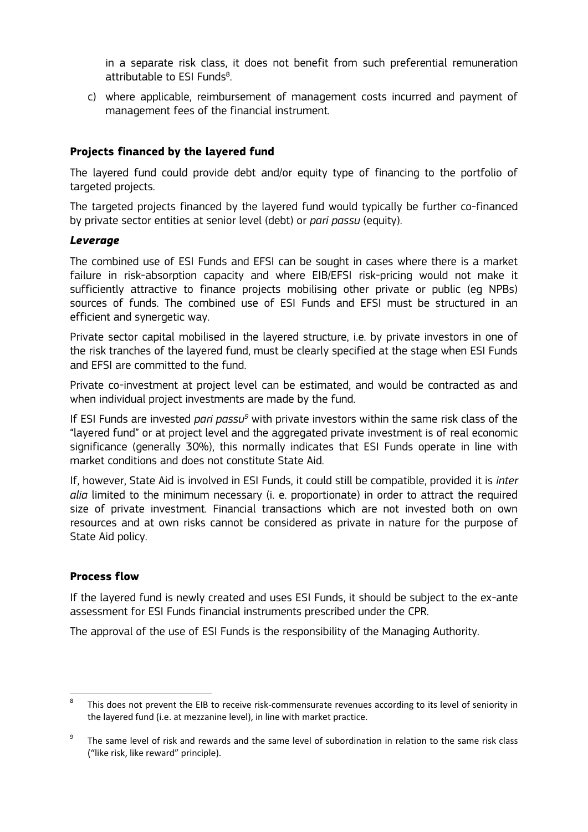in a separate risk class, it does not benefit from such preferential remuneration attributable to ESI Funds<sup>8</sup>. .

c) where applicable, reimbursement of management costs incurred and payment of management fees of the financial instrument.

# **Projects financed by the layered fund**

The layered fund could provide debt and/or equity type of financing to the portfolio of targeted projects.

The targeted projects financed by the layered fund would typically be further co-financed by private sector entities at senior level (debt) or *pari passu* (equity).

#### *Leverage*

The combined use of ESI Funds and EFSI can be sought in cases where there is a market failure in risk-absorption capacity and where EIB/EFSI risk-pricing would not make it sufficiently attractive to finance projects mobilising other private or public (eg NPBs) sources of funds. The combined use of ESI Funds and EFSI must be structured in an efficient and synergetic way.

Private sector capital mobilised in the layered structure, i.e. by private investors in one of the risk tranches of the layered fund, must be clearly specified at the stage when ESI Funds and EFSI are committed to the fund.

Private co-investment at project level can be estimated, and would be contracted as and when individual project investments are made by the fund.

If ESI Funds are invested *pari passu9* with private investors within the same risk class of the "layered fund" or at project level and the aggregated private investment is of real economic significance (generally 30%), this normally indicates that ESI Funds operate in line with market conditions and does not constitute State Aid.

If, however, State Aid is involved in ESI Funds, it could still be compatible, provided it is *inter alia* limited to the minimum necessary (i. e. proportionate) in order to attract the required size of private investment. Financial transactions which are not invested both on own resources and at own risks cannot be considered as private in nature for the purpose of State Aid policy.

## **Process flow**

If the layered fund is newly created and uses ESI Funds, it should be subject to the ex-ante assessment for ESI Funds financial instruments prescribed under the CPR.

The approval of the use of ESI Funds is the responsibility of the Managing Authority.

<sup>&</sup>lt;sup>8</sup> This does not prevent the EIB to receive risk-commensurate revenues according to its level of seniority in the layered fund (i.e. at mezzanine level), in line with market practice.

<sup>&</sup>lt;sup>9</sup> The same level of risk and rewards and the same level of subordination in relation to the same risk class ("like risk, like reward" principle).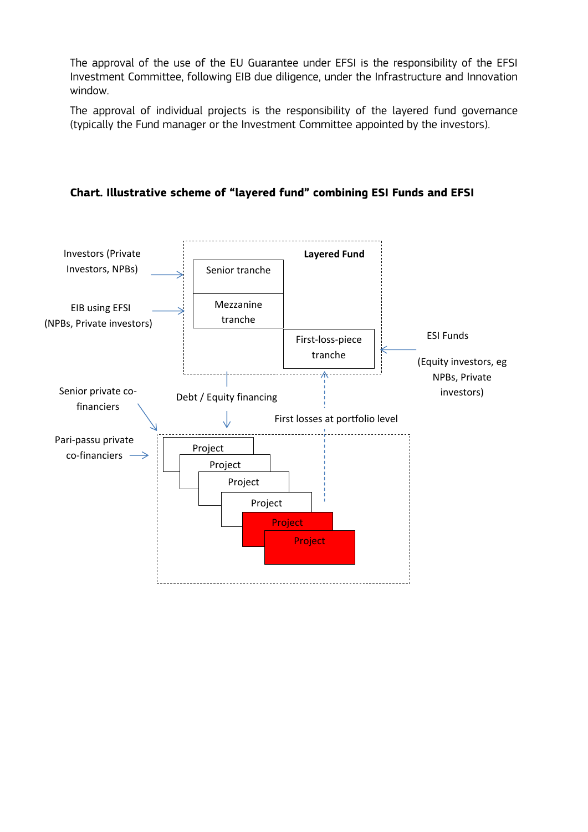The approval of the use of the EU Guarantee under EFSI is the responsibility of the EFSI Investment Committee, following EIB due diligence, under the Infrastructure and Innovation window.

The approval of individual projects is the responsibility of the layered fund governance (typically the Fund manager or the Investment Committee appointed by the investors).



**Chart. Illustrative scheme of "layered fund" combining ESI Funds and EFSI**